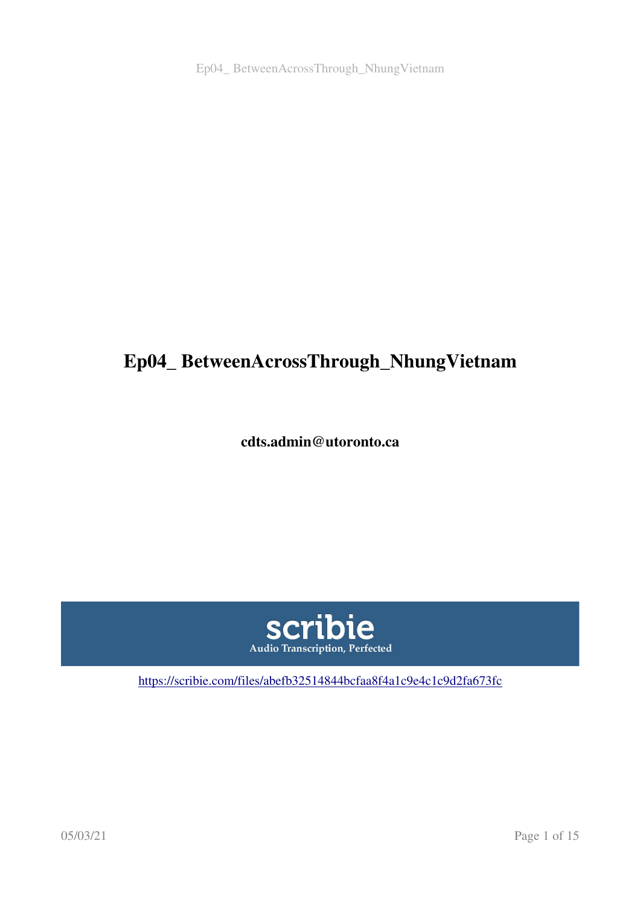Ep04\_ BetweenAcrossThrough\_NhungVietnam

# Ep04\_ BetweenAcrossThrough\_NhungVietnam

cdts.admin@utoronto.ca



<https://scribie.com/files/abefb32514844bcfaa8f4a1c9e4c1c9d2fa673fc>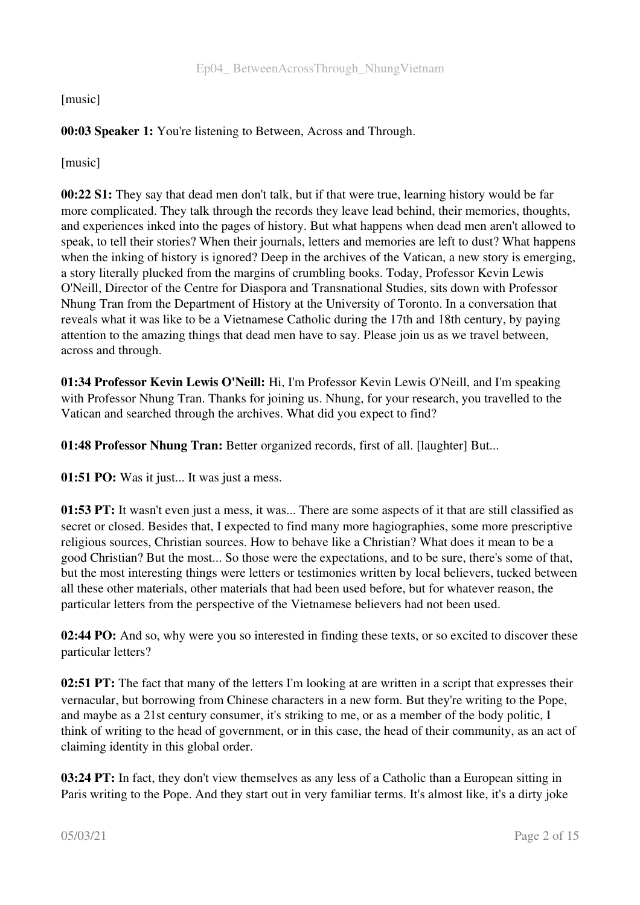# [music]

# 00:03 Speaker 1: You're listening to Between, Across and Through.

[music]

00:22 S1: They say that dead men don't talk, but if that were true, learning history would be far more complicated. They talk through the records they leave lead behind, their memories, thoughts, and experiences inked into the pages of history. But what happens when dead men aren't allowed to speak, to tell their stories? When their journals, letters and memories are left to dust? What happens when the inking of history is ignored? Deep in the archives of the Vatican, a new story is emerging, a story literally plucked from the margins of crumbling books. Today, Professor Kevin Lewis O'Neill, Director of the Centre for Diaspora and Transnational Studies, sits down with Professor Nhung Tran from the Department of History at the University of Toronto. In a conversation that reveals what it was like to be a Vietnamese Catholic during the 17th and 18th century, by paying attention to the amazing things that dead men have to say. Please join us as we travel between, across and through.

01:34 Professor Kevin Lewis O'Neill: Hi, I'm Professor Kevin Lewis O'Neill, and I'm speaking with Professor Nhung Tran. Thanks for joining us. Nhung, for your research, you travelled to the Vatican and searched through the archives. What did you expect to find?

01:48 Professor Nhung Tran: Better organized records, first of all. [laughter] But...

01:51 PO: Was it just... It was just a mess.

01:53 PT: It wasn't even just a mess, it was... There are some aspects of it that are still classified as secret or closed. Besides that, I expected to find many more hagiographies, some more prescriptive religious sources, Christian sources. How to behave like a Christian? What does it mean to be a good Christian? But the most... So those were the expectations, and to be sure, there's some of that, but the most interesting things were letters or testimonies written by local believers, tucked between all these other materials, other materials that had been used before, but for whatever reason, the particular letters from the perspective of the Vietnamese believers had not been used.

02:44 PO: And so, why were you so interested in finding these texts, or so excited to discover these particular letters?

02:51 PT: The fact that many of the letters I'm looking at are written in a script that expresses their vernacular, but borrowing from Chinese characters in a new form. But they're writing to the Pope, and maybe as a 21st century consumer, it's striking to me, or as a member of the body politic, I think of writing to the head of government, or in this case, the head of their community, as an act of claiming identity in this global order.

03:24 PT: In fact, they don't view themselves as any less of a Catholic than a European sitting in Paris writing to the Pope. And they start out in very familiar terms. It's almost like, it's a dirty joke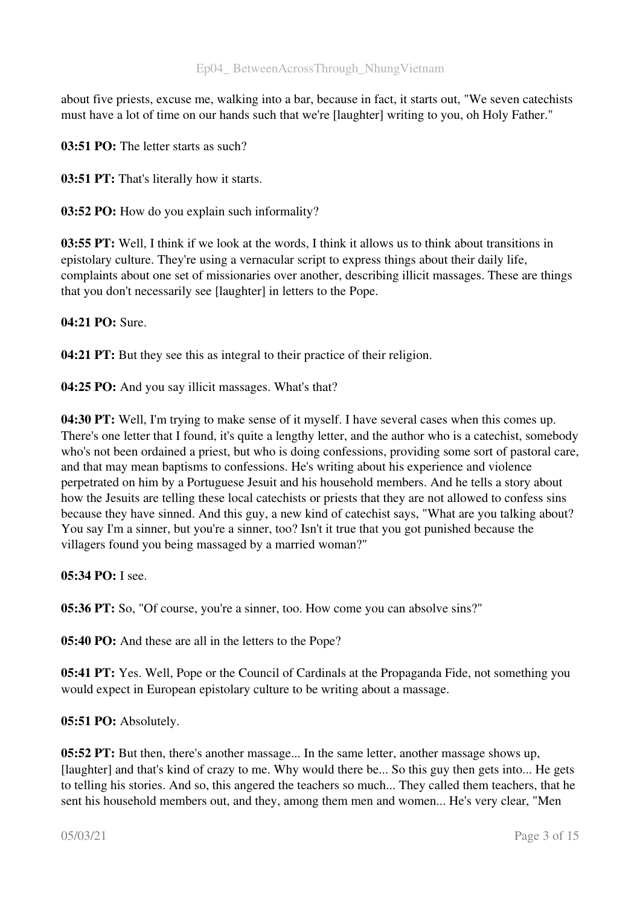about five priests, excuse me, walking into a bar, because in fact, it starts out, "We seven catechists must have a lot of time on our hands such that we're [laughter] writing to you, oh Holy Father."

03:51 PO: The letter starts as such?

03:51 PT: That's literally how it starts.

03:52 PO: How do you explain such informality?

03:55 PT: Well, I think if we look at the words, I think it allows us to think about transitions in epistolary culture. They're using a vernacular script to express things about their daily life, complaints about one set of missionaries over another, describing illicit massages. These are things that you don't necessarily see [laughter] in letters to the Pope.

04:21 PO: Sure.

04:21 PT: But they see this as integral to their practice of their religion.

04:25 PO: And you say illicit massages. What's that?

04:30 PT: Well, I'm trying to make sense of it myself. I have several cases when this comes up. There's one letter that I found, it's quite a lengthy letter, and the author who is a catechist, somebody who's not been ordained a priest, but who is doing confessions, providing some sort of pastoral care, and that may mean baptisms to confessions. He's writing about his experience and violence perpetrated on him by a Portuguese Jesuit and his household members. And he tells a story about how the Jesuits are telling these local catechists or priests that they are not allowed to confess sins because they have sinned. And this guy, a new kind of catechist says, "What are you talking about? You say I'm a sinner, but you're a sinner, too? Isn't it true that you got punished because the villagers found you being massaged by a married woman?"

05:34 PO: I see.

05:36 PT: So, "Of course, you're a sinner, too. How come you can absolve sins?"

05:40 PO: And these are all in the letters to the Pope?

05:41 PT: Yes. Well, Pope or the Council of Cardinals at the Propaganda Fide, not something you would expect in European epistolary culture to be writing about a massage.

05:51 PO: Absolutely.

05:52 PT: But then, there's another massage... In the same letter, another massage shows up, [laughter] and that's kind of crazy to me. Why would there be... So this guy then gets into... He gets to telling his stories. And so, this angered the teachers so much... They called them teachers, that he sent his household members out, and they, among them men and women... He's very clear, "Men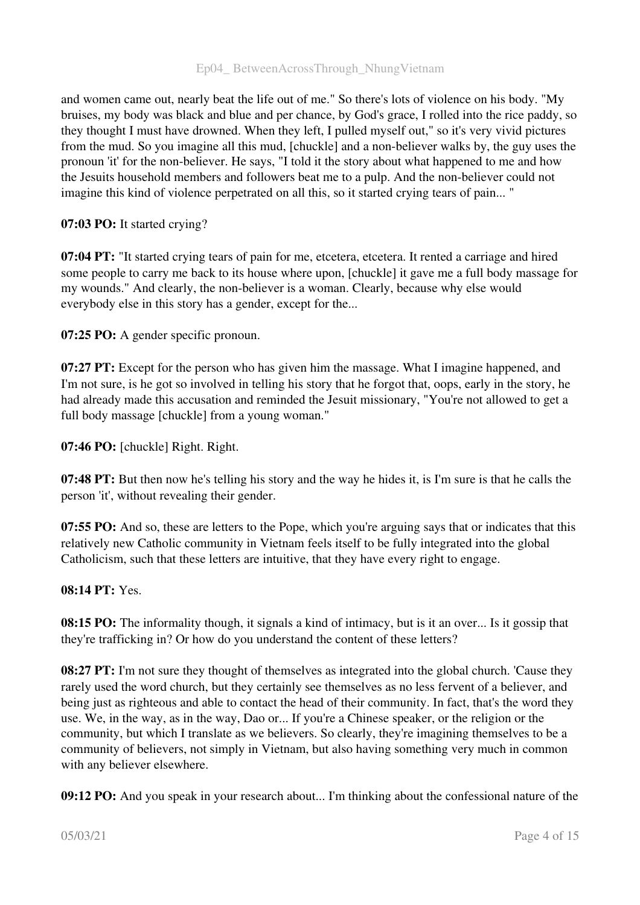# Ep04\_ BetweenAcrossThrough\_NhungVietnam

and women came out, nearly beat the life out of me." So there's lots of violence on his body. "My bruises, my body was black and blue and per chance, by God's grace, I rolled into the rice paddy, so they thought I must have drowned. When they left, I pulled myself out," so it's very vivid pictures from the mud. So you imagine all this mud, [chuckle] and a non-believer walks by, the guy uses the pronoun 'it' for the non-believer. He says, "I told it the story about what happened to me and how the Jesuits household members and followers beat me to a pulp. And the non-believer could not imagine this kind of violence perpetrated on all this, so it started crying tears of pain... "

### 07:03 PO: It started crying?

07:04 PT: "It started crying tears of pain for me, etcetera, etcetera. It rented a carriage and hired some people to carry me back to its house where upon, [chuckle] it gave me a full body massage for my wounds." And clearly, the non-believer is a woman. Clearly, because why else would everybody else in this story has a gender, except for the...

07:25 PO: A gender specific pronoun.

07:27 PT: Except for the person who has given him the massage. What I imagine happened, and I'm not sure, is he got so involved in telling his story that he forgot that, oops, early in the story, he had already made this accusation and reminded the Jesuit missionary, "You're not allowed to get a full body massage [chuckle] from a young woman."

07:46 PO: [chuckle] Right. Right.

07:48 PT: But then now he's telling his story and the way he hides it, is I'm sure is that he calls the person 'it', without revealing their gender.

07:55 PO: And so, these are letters to the Pope, which you're arguing says that or indicates that this relatively new Catholic community in Vietnam feels itself to be fully integrated into the global Catholicism, such that these letters are intuitive, that they have every right to engage.

#### 08:14 PT: Yes.

08:15 PO: The informality though, it signals a kind of intimacy, but is it an over... Is it gossip that they're trafficking in? Or how do you understand the content of these letters?

08:27 PT: I'm not sure they thought of themselves as integrated into the global church. 'Cause they rarely used the word church, but they certainly see themselves as no less fervent of a believer, and being just as righteous and able to contact the head of their community. In fact, that's the word they use. We, in the way, as in the way, Dao or... If you're a Chinese speaker, or the religion or the community, but which I translate as we believers. So clearly, they're imagining themselves to be a community of believers, not simply in Vietnam, but also having something very much in common with any believer elsewhere.

09:12 PO: And you speak in your research about... I'm thinking about the confessional nature of the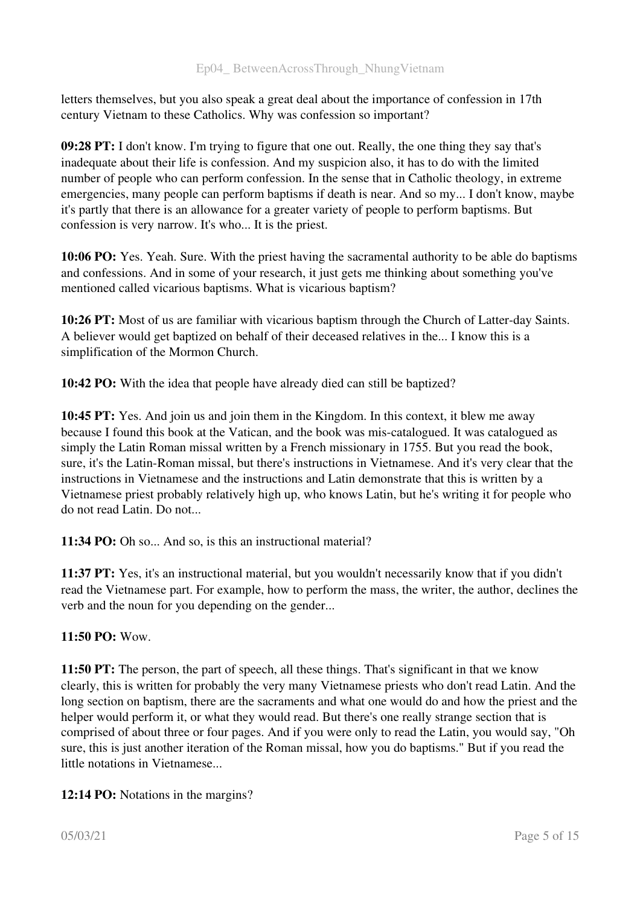letters themselves, but you also speak a great deal about the importance of confession in 17th century Vietnam to these Catholics. Why was confession so important?

09:28 PT: I don't know. I'm trying to figure that one out. Really, the one thing they say that's inadequate about their life is confession. And my suspicion also, it has to do with the limited number of people who can perform confession. In the sense that in Catholic theology, in extreme emergencies, many people can perform baptisms if death is near. And so my... I don't know, maybe it's partly that there is an allowance for a greater variety of people to perform baptisms. But confession is very narrow. It's who... It is the priest.

10:06 PO: Yes. Yeah. Sure. With the priest having the sacramental authority to be able do baptisms and confessions. And in some of your research, it just gets me thinking about something you've mentioned called vicarious baptisms. What is vicarious baptism?

10:26 PT: Most of us are familiar with vicarious baptism through the Church of Latter-day Saints. A believer would get baptized on behalf of their deceased relatives in the... I know this is a simplification of the Mormon Church.

10:42 PO: With the idea that people have already died can still be baptized?

10:45 PT: Yes. And join us and join them in the Kingdom. In this context, it blew me away because I found this book at the Vatican, and the book was miscatalogued. It was catalogued as simply the Latin Roman missal written by a French missionary in 1755. But you read the book, sure, it's the Latin-Roman missal, but there's instructions in Vietnamese. And it's very clear that the instructions in Vietnamese and the instructions and Latin demonstrate that this is written by a Vietnamese priest probably relatively high up, who knows Latin, but he's writing it for people who do not read Latin. Do not...

11:34 PO: Oh so... And so, is this an instructional material?

11:37 PT: Yes, it's an instructional material, but you wouldn't necessarily know that if you didn't read the Vietnamese part. For example, how to perform the mass, the writer, the author, declines the verb and the noun for you depending on the gender...

# 11:50 PO: Wow.

11:50 PT: The person, the part of speech, all these things. That's significant in that we know clearly, this is written for probably the very many Vietnamese priests who don't read Latin. And the long section on baptism, there are the sacraments and what one would do and how the priest and the helper would perform it, or what they would read. But there's one really strange section that is comprised of about three or four pages. And if you were only to read the Latin, you would say, "Oh sure, this is just another iteration of the Roman missal, how you do baptisms." But if you read the little notations in Vietnamese...

# 12:14 PO: Notations in the margins?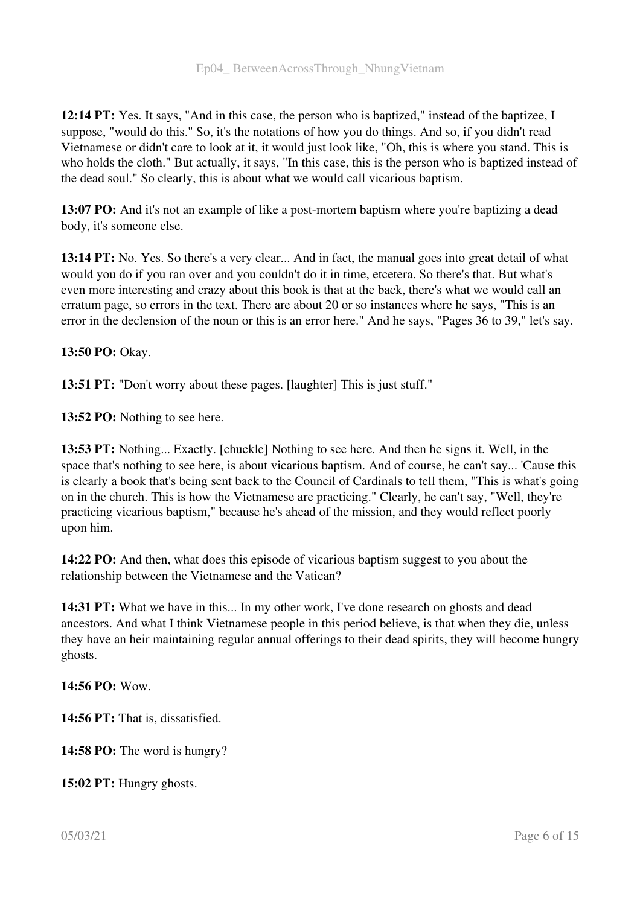12:14 PT: Yes. It says, "And in this case, the person who is baptized," instead of the baptizee, I suppose, "would do this." So, it's the notations of how you do things. And so, if you didn't read Vietnamese or didn't care to look at it, it would just look like, "Oh, this is where you stand. This is who holds the cloth." But actually, it says, "In this case, this is the person who is baptized instead of the dead soul." So clearly, this is about what we would call vicarious baptism.

13:07 PO: And it's not an example of like a post-mortem baptism where you're baptizing a dead body, it's someone else.

13:14 PT: No. Yes. So there's a very clear... And in fact, the manual goes into great detail of what would you do if you ran over and you couldn't do it in time, etcetera. So there's that. But what's even more interesting and crazy about this book is that at the back, there's what we would call an erratum page, so errors in the text. There are about 20 or so instances where he says, "This is an error in the declension of the noun or this is an error here." And he says, "Pages 36 to 39," let's say.

13:50 PO: Okay.

13:51 PT: "Don't worry about these pages. [laughter] This is just stuff."

13:52 PO: Nothing to see here.

13:53 PT: Nothing... Exactly. [chuckle] Nothing to see here. And then he signs it. Well, in the space that's nothing to see here, is about vicarious baptism. And of course, he can't say... 'Cause this is clearly a book that's being sent back to the Council of Cardinals to tell them, "This is what's going on in the church. This is how the Vietnamese are practicing." Clearly, he can't say, "Well, they're practicing vicarious baptism," because he's ahead of the mission, and they would reflect poorly upon him.

14:22 PO: And then, what does this episode of vicarious baptism suggest to you about the relationship between the Vietnamese and the Vatican?

14:31 PT: What we have in this... In my other work, I've done research on ghosts and dead ancestors. And what I think Vietnamese people in this period believe, is that when they die, unless they have an heir maintaining regular annual offerings to their dead spirits, they will become hungry ghosts.

14:56 PO: Wow.

14:56 PT: That is, dissatisfied.

14:58 PO: The word is hungry?

15:02 PT: Hungry ghosts.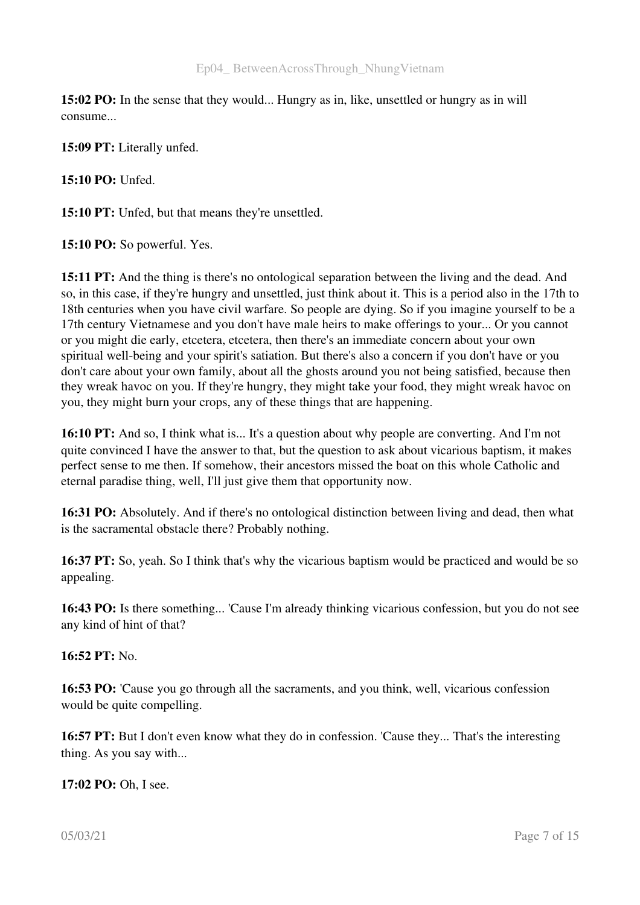15:02 PO: In the sense that they would... Hungry as in, like, unsettled or hungry as in will consume...

15:09 PT: Literally unfed.

15:10 PO: Unfed.

15:10 PT: Unfed, but that means they're unsettled.

15:10 PO: So powerful. Yes.

15:11 PT: And the thing is there's no ontological separation between the living and the dead. And so, in this case, if they're hungry and unsettled, just think about it. This is a period also in the 17th to 18th centuries when you have civil warfare. So people are dying. So if you imagine yourself to be a 17th century Vietnamese and you don't have male heirs to make offerings to your... Or you cannot or you might die early, etcetera, etcetera, then there's an immediate concern about your own spiritual well-being and your spirit's satiation. But there's also a concern if you don't have or you don't care about your own family, about all the ghosts around you not being satisfied, because then they wreak havoc on you. If they're hungry, they might take your food, they might wreak havoc on you, they might burn your crops, any of these things that are happening.

16:10 PT: And so, I think what is... It's a question about why people are converting. And I'm not quite convinced I have the answer to that, but the question to ask about vicarious baptism, it makes perfect sense to me then. If somehow, their ancestors missed the boat on this whole Catholic and eternal paradise thing, well, I'll just give them that opportunity now.

16:31 PO: Absolutely. And if there's no ontological distinction between living and dead, then what is the sacramental obstacle there? Probably nothing.

16:37 PT: So, yeah. So I think that's why the vicarious baptism would be practiced and would be so appealing.

16:43 PO: Is there something... 'Cause I'm already thinking vicarious confession, but you do not see any kind of hint of that?

16:52 PT: No.

16:53 PO: 'Cause you go through all the sacraments, and you think, well, vicarious confession would be quite compelling.

16:57 PT: But I don't even know what they do in confession. 'Cause they... That's the interesting thing. As you say with...

17:02 PO: Oh, I see.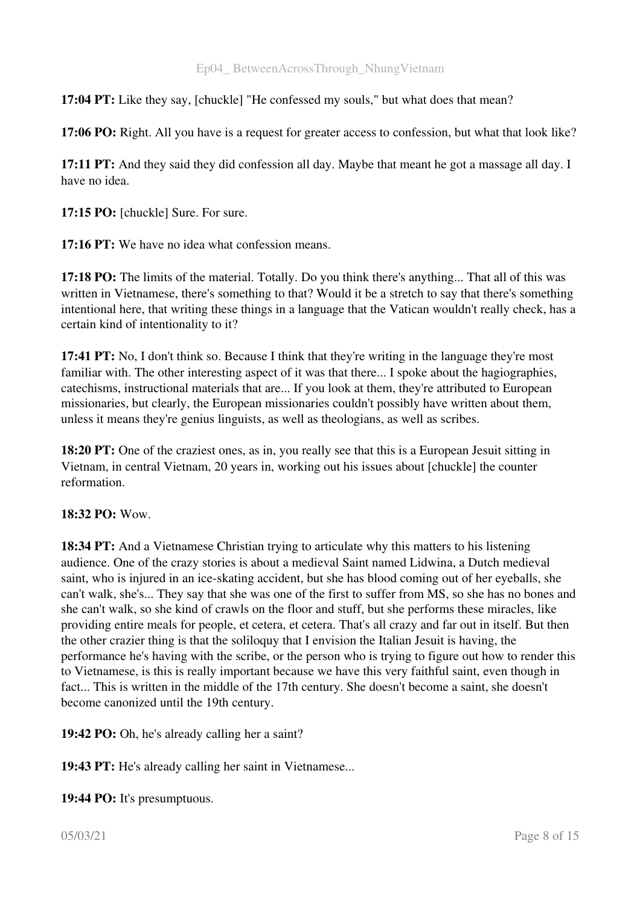17:04 PT: Like they say, [chuckle] "He confessed my souls," but what does that mean?

17:06 PO: Right. All you have is a request for greater access to confession, but what that look like?

17:11 PT: And they said they did confession all day. Maybe that meant he got a massage all day. I have no idea.

17:15 PO: [chuckle] Sure. For sure.

17:16 PT: We have no idea what confession means.

17:18 PO: The limits of the material. Totally. Do you think there's anything... That all of this was written in Vietnamese, there's something to that? Would it be a stretch to say that there's something intentional here, that writing these things in a language that the Vatican wouldn't really check, has a certain kind of intentionality to it?

17:41 PT: No, I don't think so. Because I think that they're writing in the language they're most familiar with. The other interesting aspect of it was that there... I spoke about the hagiographies, catechisms, instructional materials that are... If you look at them, they're attributed to European missionaries, but clearly, the European missionaries couldn't possibly have written about them, unless it means they're genius linguists, as well as theologians, as well as scribes.

18:20 PT: One of the craziest ones, as in, you really see that this is a European Jesuit sitting in Vietnam, in central Vietnam, 20 years in, working out his issues about [chuckle] the counter reformation.

#### 18:32 PO: Wow.

18:34 PT: And a Vietnamese Christian trying to articulate why this matters to his listening audience. One of the crazy stories is about a medieval Saint named Lidwina, a Dutch medieval saint, who is injured in an ice-skating accident, but she has blood coming out of her eyeballs, she can't walk, she's... They say that she was one of the first to suffer from MS, so she has no bones and she can't walk, so she kind of crawls on the floor and stuff, but she performs these miracles, like providing entire meals for people, et cetera, et cetera. That's all crazy and far out in itself. But then the other crazier thing is that the soliloquy that I envision the Italian Jesuit is having, the performance he's having with the scribe, or the person who is trying to figure out how to render this to Vietnamese, is this is really important because we have this very faithful saint, even though in fact... This is written in the middle of the 17th century. She doesn't become a saint, she doesn't become canonized until the 19th century.

19:42 PO: Oh, he's already calling her a saint?

19:43 PT: He's already calling her saint in Vietnamese...

19:44 PO: It's presumptuous.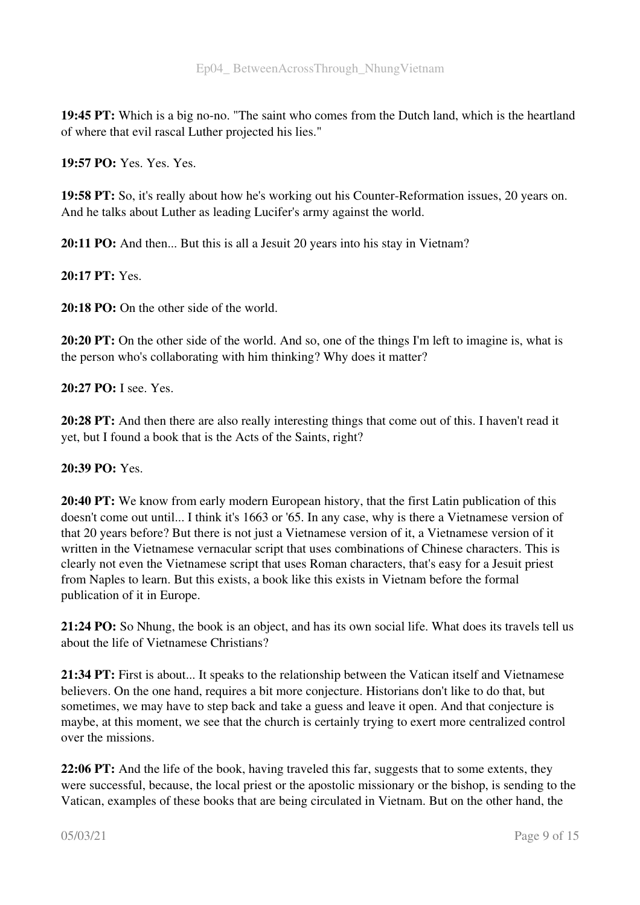19:45 PT: Which is a big no-no. "The saint who comes from the Dutch land, which is the heartland of where that evil rascal Luther projected his lies."

19:57 PO: Yes. Yes. Yes.

19:58 PT: So, it's really about how he's working out his Counter-Reformation issues, 20 years on. And he talks about Luther as leading Lucifer's army against the world.

20:11 PO: And then... But this is all a Jesuit 20 years into his stay in Vietnam?

20:17 PT: Yes.

20:18 PO: On the other side of the world.

20:20 PT: On the other side of the world. And so, one of the things I'm left to imagine is, what is the person who's collaborating with him thinking? Why does it matter?

20:27 PO: I see. Yes.

20:28 PT: And then there are also really interesting things that come out of this. I haven't read it yet, but I found a book that is the Acts of the Saints, right?

# 20:39 PO: Yes.

20:40 PT: We know from early modern European history, that the first Latin publication of this doesn't come out until... I think it's 1663 or '65. In any case, why is there a Vietnamese version of that 20 years before? But there is not just a Vietnamese version of it, a Vietnamese version of it written in the Vietnamese vernacular script that uses combinations of Chinese characters. This is clearly not even the Vietnamese script that uses Roman characters, that's easy for a Jesuit priest from Naples to learn. But this exists, a book like this exists in Vietnam before the formal publication of it in Europe.

21:24 PO: So Nhung, the book is an object, and has its own social life. What does its travels tell us about the life of Vietnamese Christians?

21:34 PT: First is about... It speaks to the relationship between the Vatican itself and Vietnamese believers. On the one hand, requires a bit more conjecture. Historians don't like to do that, but sometimes, we may have to step back and take a guess and leave it open. And that conjecture is maybe, at this moment, we see that the church is certainly trying to exert more centralized control over the missions.

22:06 PT: And the life of the book, having traveled this far, suggests that to some extents, they were successful, because, the local priest or the apostolic missionary or the bishop, is sending to the Vatican, examples of these books that are being circulated in Vietnam. But on the other hand, the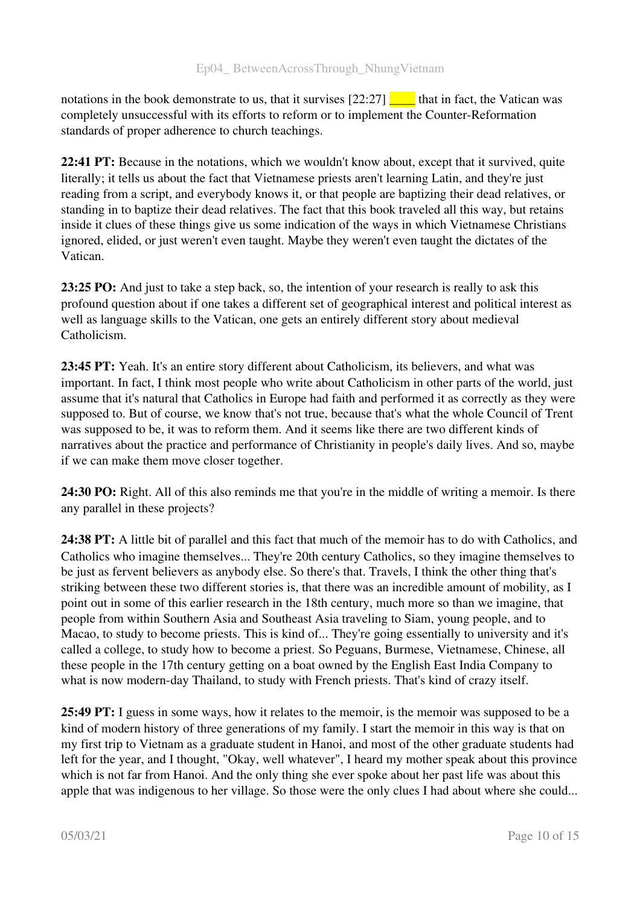notations in the book demonstrate to us, that it survises  $[22:27]$   $\Box$  that in fact, the Vatican was completely unsuccessful with its efforts to reform or to implement the Counter-Reformation standards of proper adherence to church teachings.

22:41 PT: Because in the notations, which we wouldn't know about, except that it survived, quite literally; it tells us about the fact that Vietnamese priests aren't learning Latin, and they're just reading from a script, and everybody knows it, or that people are baptizing their dead relatives, or standing in to baptize their dead relatives. The fact that this book traveled all this way, but retains inside it clues of these things give us some indication of the ways in which Vietnamese Christians ignored, elided, or just weren't even taught. Maybe they weren't even taught the dictates of the Vatican.

23:25 PO: And just to take a step back, so, the intention of your research is really to ask this profound question about if one takes a different set of geographical interest and political interest as well as language skills to the Vatican, one gets an entirely different story about medieval Catholicism.

23:45 PT: Yeah. It's an entire story different about Catholicism, its believers, and what was important. In fact, I think most people who write about Catholicism in other parts of the world, just assume that it's natural that Catholics in Europe had faith and performed it as correctly as they were supposed to. But of course, we know that's not true, because that's what the whole Council of Trent was supposed to be, it was to reform them. And it seems like there are two different kinds of narratives about the practice and performance of Christianity in people's daily lives. And so, maybe if we can make them move closer together.

24:30 PO: Right. All of this also reminds me that you're in the middle of writing a memoir. Is there any parallel in these projects?

24:38 PT: A little bit of parallel and this fact that much of the memoir has to do with Catholics, and Catholics who imagine themselves... They're 20th century Catholics, so they imagine themselves to be just as fervent believers as anybody else. So there's that. Travels, I think the other thing that's striking between these two different stories is, that there was an incredible amount of mobility, as I point out in some of this earlier research in the 18th century, much more so than we imagine, that people from within Southern Asia and Southeast Asia traveling to Siam, young people, and to Macao, to study to become priests. This is kind of... They're going essentially to university and it's called a college, to study how to become a priest. So Peguans, Burmese, Vietnamese, Chinese, all these people in the 17th century getting on a boat owned by the English East India Company to what is now modern-day Thailand, to study with French priests. That's kind of crazy itself.

25:49 PT: I guess in some ways, how it relates to the memoir, is the memoir was supposed to be a kind of modern history of three generations of my family. I start the memoir in this way is that on my first trip to Vietnam as a graduate student in Hanoi, and most of the other graduate students had left for the year, and I thought, "Okay, well whatever", I heard my mother speak about this province which is not far from Hanoi. And the only thing she ever spoke about her past life was about this apple that was indigenous to her village. So those were the only clues I had about where she could...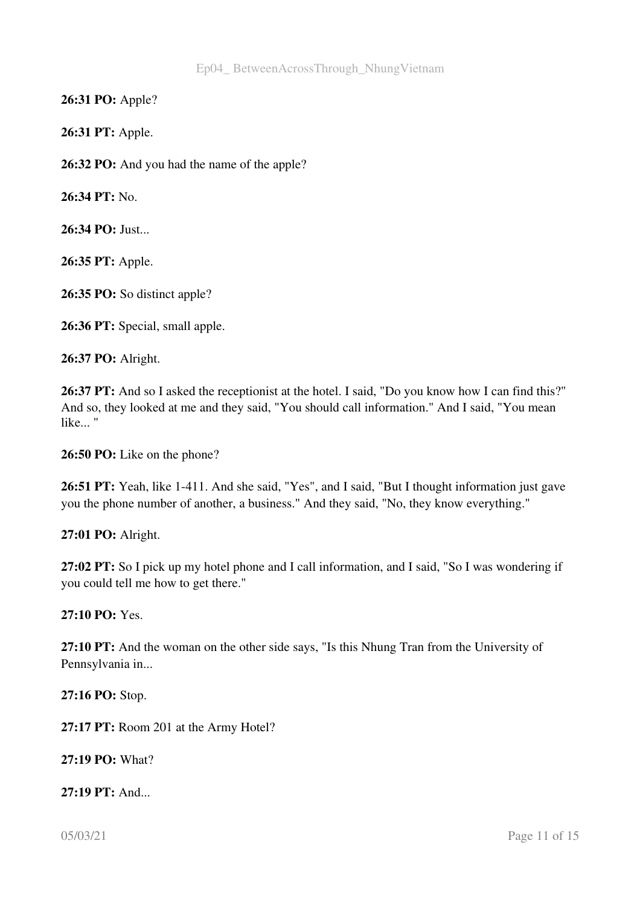26:31 PO: Apple?

26:31 PT: Apple.

26:32 PO: And you had the name of the apple?

26:34 PT: No.

26:34 PO: Just...

26:35 PT: Apple.

26:35 PO: So distinct apple?

26:36 PT: Special, small apple.

26:37 PO: Alright.

26:37 PT: And so I asked the receptionist at the hotel. I said, "Do you know how I can find this?" And so, they looked at me and they said, "You should call information." And I said, "You mean like... "

26:50 PO: Like on the phone?

26:51 PT: Yeah, like 1-411. And she said, "Yes", and I said, "But I thought information just gave you the phone number of another, a business." And they said, "No, they know everything."

27:01 PO: Alright.

27:02 PT: So I pick up my hotel phone and I call information, and I said, "So I was wondering if you could tell me how to get there."

27:10 PO: Yes.

27:10 PT: And the woman on the other side says, "Is this Nhung Tran from the University of Pennsylvania in...

27:16 PO: Stop.

27:17 PT: Room 201 at the Army Hotel?

27:19 PO: What?

27:19 PT: And...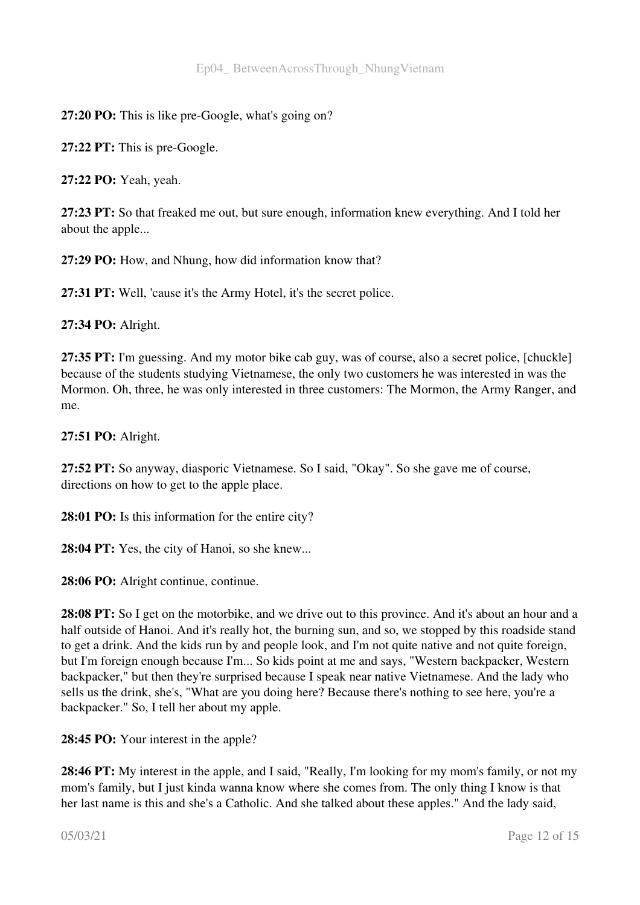# 27:20 PO: This is like pre-Google, what's going on?

27:22 PT: This is pre-Google.

27:22 PO: Yeah, yeah.

27:23 PT: So that freaked me out, but sure enough, information knew everything. And I told her about the apple...

27:29 PO: How, and Nhung, how did information know that?

27:31 PT: Well, 'cause it's the Army Hotel, it's the secret police.

27:34 PO: Alright.

27:35 PT: I'm guessing. And my motor bike cab guy, was of course, also a secret police, [chuckle] because of the students studying Vietnamese, the only two customers he was interested in was the Mormon. Oh, three, he was only interested in three customers: The Mormon, the Army Ranger, and me.

27:51 PO: Alright.

27:52 PT: So anyway, diasporic Vietnamese. So I said, "Okay". So she gave me of course, directions on how to get to the apple place.

28:01 PO: Is this information for the entire city?

28:04 PT: Yes, the city of Hanoi, so she knew...

28:06 PO: Alright continue, continue.

28:08 PT: So I get on the motorbike, and we drive out to this province. And it's about an hour and a half outside of Hanoi. And it's really hot, the burning sun, and so, we stopped by this roadside stand to get a drink. And the kids run by and people look, and I'm not quite native and not quite foreign, but I'm foreign enough because I'm... So kids point at me and says, "Western backpacker, Western backpacker," but then they're surprised because I speak near native Vietnamese. And the lady who sells us the drink, she's, "What are you doing here? Because there's nothing to see here, you're a backpacker." So, I tell her about my apple.

28:45 PO: Your interest in the apple?

28:46 PT: My interest in the apple, and I said, "Really, I'm looking for my mom's family, or not my mom's family, but I just kinda wanna know where she comes from. The only thing I know is that her last name is this and she's a Catholic. And she talked about these apples." And the lady said,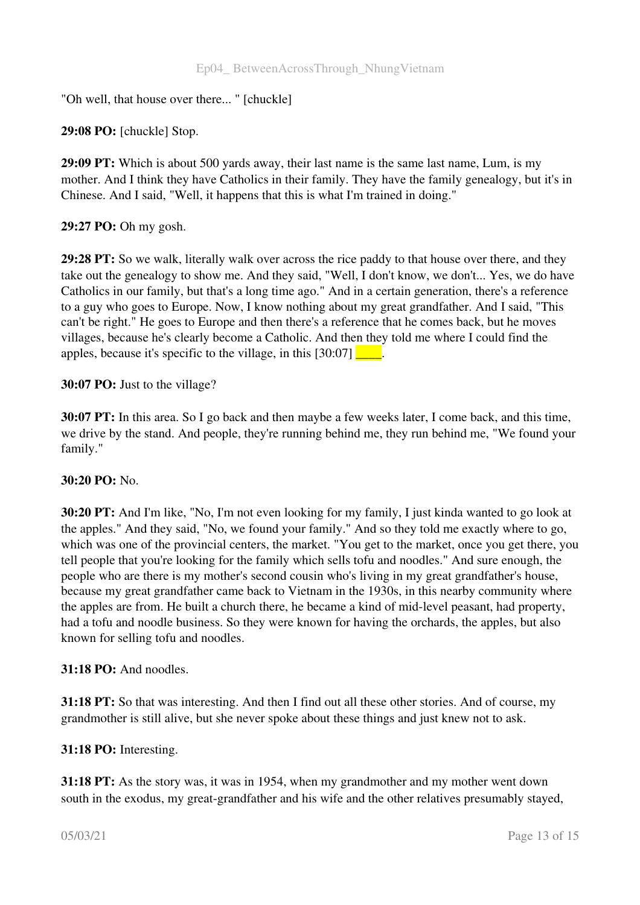"Oh well, that house over there... " [chuckle]

29:08 PO: [chuckle] Stop.

29:09 PT: Which is about 500 yards away, their last name is the same last name, Lum, is my mother. And I think they have Catholics in their family. They have the family genealogy, but it's in Chinese. And I said, "Well, it happens that this is what I'm trained in doing."

#### 29:27 PO: Oh my gosh.

29:28 PT: So we walk, literally walk over across the rice paddy to that house over there, and they take out the genealogy to show me. And they said, "Well, I don't know, we don't... Yes, we do have Catholics in our family, but that's a long time ago." And in a certain generation, there's a reference to a guy who goes to Europe. Now, I know nothing about my great grandfather. And I said, "This can't be right." He goes to Europe and then there's a reference that he comes back, but he moves villages, because he's clearly become a Catholic. And then they told me where I could find the apples, because it's specific to the village, in this  $[30:07]$ .

#### 30:07 PO: Just to the village?

30:07 PT: In this area. So I go back and then maybe a few weeks later, I come back, and this time, we drive by the stand. And people, they're running behind me, they run behind me, "We found your family."

#### 30:20 PO: No.

30:20 PT: And I'm like, "No, I'm not even looking for my family, I just kinda wanted to go look at the apples." And they said, "No, we found your family." And so they told me exactly where to go, which was one of the provincial centers, the market. "You get to the market, once you get there, you tell people that you're looking for the family which sells tofu and noodles." And sure enough, the people who are there is my mother's second cousin who's living in my great grandfather's house, because my great grandfather came back to Vietnam in the 1930s, in this nearby community where the apples are from. He built a church there, he became a kind of mid-level peasant, had property, had a tofu and noodle business. So they were known for having the orchards, the apples, but also known for selling tofu and noodles.

#### 31:18 PO: And noodles.

31:18 PT: So that was interesting. And then I find out all these other stories. And of course, my grandmother is still alive, but she never spoke about these things and just knew not to ask.

#### 31:18 PO: Interesting.

31:18 PT: As the story was, it was in 1954, when my grandmother and my mother went down south in the exodus, my great-grandfather and his wife and the other relatives presumably stayed,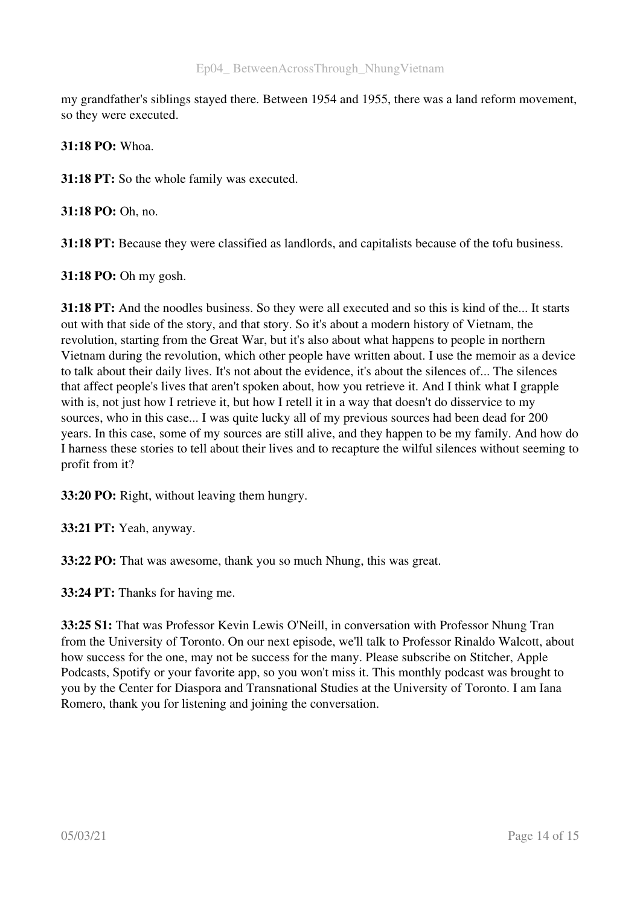my grandfather's siblings stayed there. Between 1954 and 1955, there was a land reform movement, so they were executed.

31:18 PO: Whoa.

31:18 PT: So the whole family was executed.

31:18 PO: Oh, no.

31:18 PT: Because they were classified as landlords, and capitalists because of the tofu business.

31:18 PO: Oh my gosh.

31:18 PT: And the noodles business. So they were all executed and so this is kind of the... It starts out with that side of the story, and that story. So it's about a modern history of Vietnam, the revolution, starting from the Great War, but it's also about what happens to people in northern Vietnam during the revolution, which other people have written about. I use the memoir as a device to talk about their daily lives. It's not about the evidence, it's about the silences of... The silences that affect people's lives that aren't spoken about, how you retrieve it. And I think what I grapple with is, not just how I retrieve it, but how I retell it in a way that doesn't do disservice to my sources, who in this case... I was quite lucky all of my previous sources had been dead for 200 years. In this case, some of my sources are still alive, and they happen to be my family. And how do I harness these stories to tell about their lives and to recapture the wilful silences without seeming to profit from it?

33:20 PO: Right, without leaving them hungry.

33:21 PT: Yeah, anyway.

33:22 PO: That was awesome, thank you so much Nhung, this was great.

33:24 PT: Thanks for having me.

33:25 S1: That was Professor Kevin Lewis O'Neill, in conversation with Professor Nhung Tran from the University of Toronto. On our next episode, we'll talk to Professor Rinaldo Walcott, about how success for the one, may not be success for the many. Please subscribe on Stitcher, Apple Podcasts, Spotify or your favorite app, so you won't miss it. This monthly podcast was brought to you by the Center for Diaspora and Transnational Studies at the University of Toronto. I am Iana Romero, thank you for listening and joining the conversation.